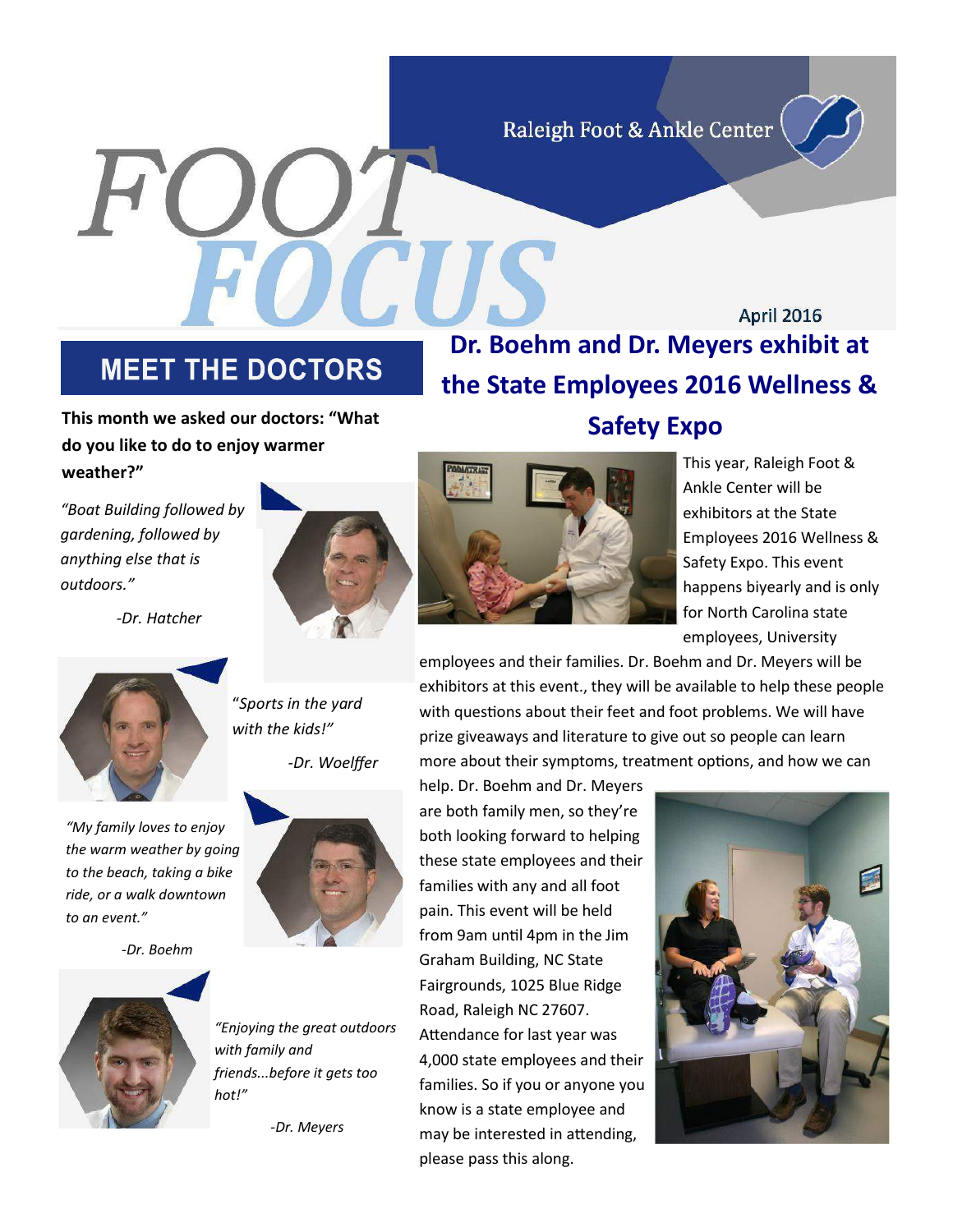Raleigh Foot & Ankle Center

**MEET THE DOCTORS** 

**Safety Expo This month we asked our doctors: "What do you like to do to enjoy warmer weather?"**

*"Boat Building followed by gardening, followed by anything else that is outdoors."*

*-Dr. Hatcher*

"*Sports in the yard with the kids!"*

*"My family loves to enjoy the warm weather by going to the beach, taking a bike ride, or a walk downtown to an event."*

*-Dr. Boehm*





*-Dr. Woelffer*

*"Enjoying the great outdoors with family and friends...before it gets too hot!"*

*-Dr. Meyers*



This year, Raleigh Foot & Ankle Center will be exhibitors at the State Employees 2016 Wellness & Safety Expo. This event happens biyearly and is only for North Carolina state employees, University

**April 2016** 

employees and their families. Dr. Boehm and Dr. Meyers will be exhibitors at this event., they will be available to help these people with questions about their feet and foot problems. We will have prize giveaways and literature to give out so people can learn more about their symptoms, treatment options, and how we can

help. Dr. Boehm and Dr. Meyers are both family men, so they're both looking forward to helping these state employees and their families with any and all foot pain. This event will be held from 9am until 4pm in the Jim Graham Building, NC State Fairgrounds, 1025 Blue Ridge Road, Raleigh NC 27607. Attendance for last year was 4,000 state employees and their families. So if you or anyone you know is a state employee and may be interested in attending, please pass this along.



**Dr. Boehm and Dr. Meyers exhibit at the State Employees 2016 Wellness &**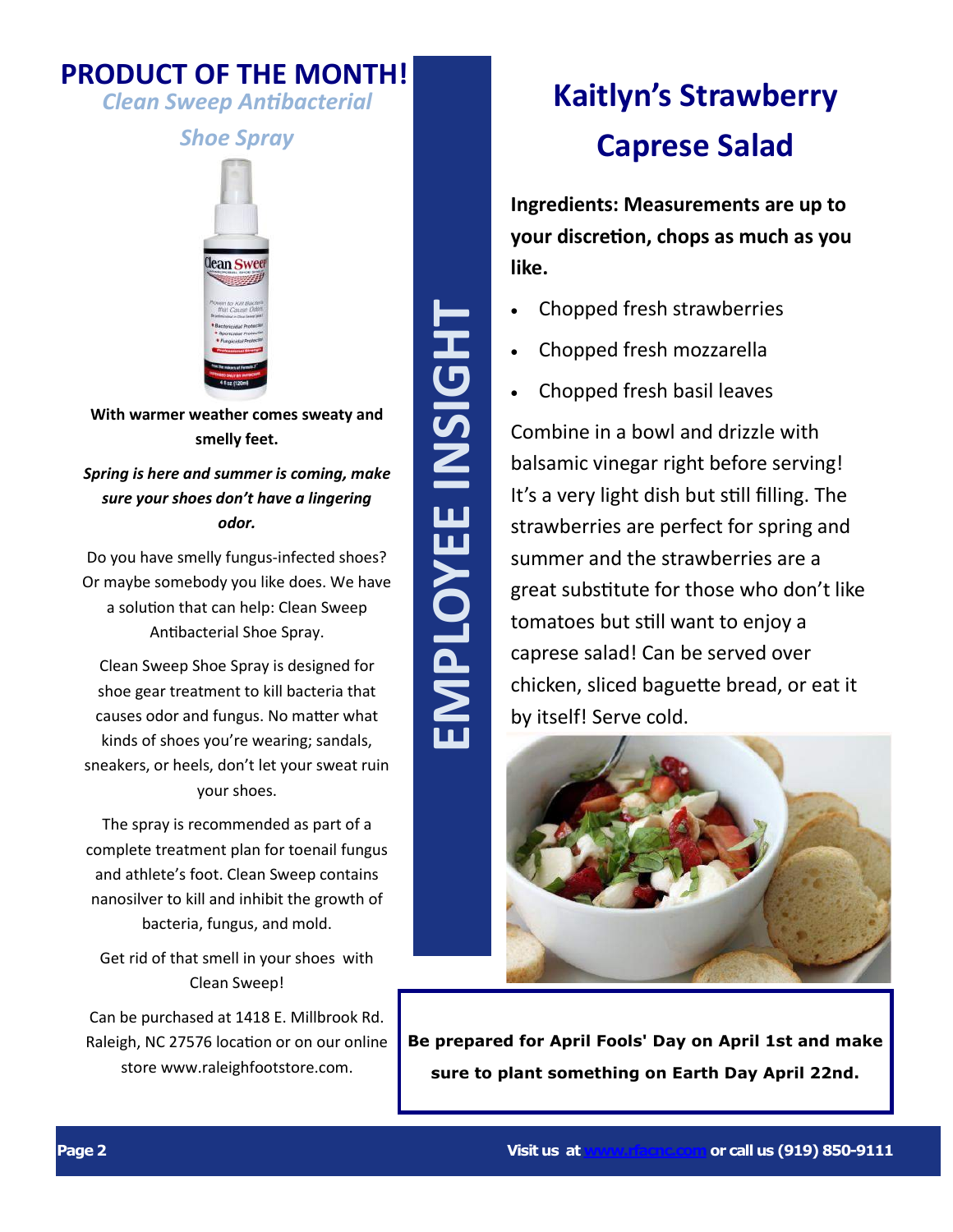## **PRODUCT OF THE MONTH!**

### *Clean Sweep Antibacterial*

## *Shoe Spray*



**With warmer weather comes sweaty and smelly feet.**

### *Spring is here and summer is coming, make sure your shoes don't have a lingering odor.*

Do you have smelly fungus -infected shoes? Or maybe somebody you like does. We have a solution that can help: Clean Sweep Antibacterial Shoe Spray.

Clean Sweep Shoe Spray is designed for shoe gear treatment to kill bacteria that causes odor and fungus. No matter what kinds of shoes you're wearing; sandals, sneakers, or heels, don't let your sweat ruin your shoes.

The spray is recommended as part of a complete treatment plan for toenail fungus and athlete's foot. Clean Sweep contains nanosilver to kill and inhibit the growth of bacteria, fungus, and mold.

Get rid of that smell in your shoes with Clean Sweep!

Can be purchased at 1418 E. Millbrook Rd. Raleigh, NC 27576 location or on our online store www.raleighfootstore.com.

**EMPLOYEE INSIGHT** EMPLOYEE INSIGHT

# **Kaitlyn's Strawberry Caprese Salad**

**Ingredients: Measurements are up to your discretion, chops as much as you like.**

- Chopped fresh strawberries
- Chopped fresh mozzarella
- Chopped fresh basil leaves

Combine in a bowl and drizzle with balsamic vinegar right before serving! It's a very light dish but still filling. The strawberries are perfect for spring and summer and the strawberries are a great substitute for those who don't like tomatoes but still want to enjoy a caprese salad! Can be served over chicken, sliced baguette bread, or eat it by itself! Serve cold.



**Be prepared for April Fools' Day on April 1st and make sure to plant something on Earth Day April 22nd.**

**Page 2 Visit us at [www.rfacnc.com](http://www.rfacnc.com) or call us (919) 850 -9111**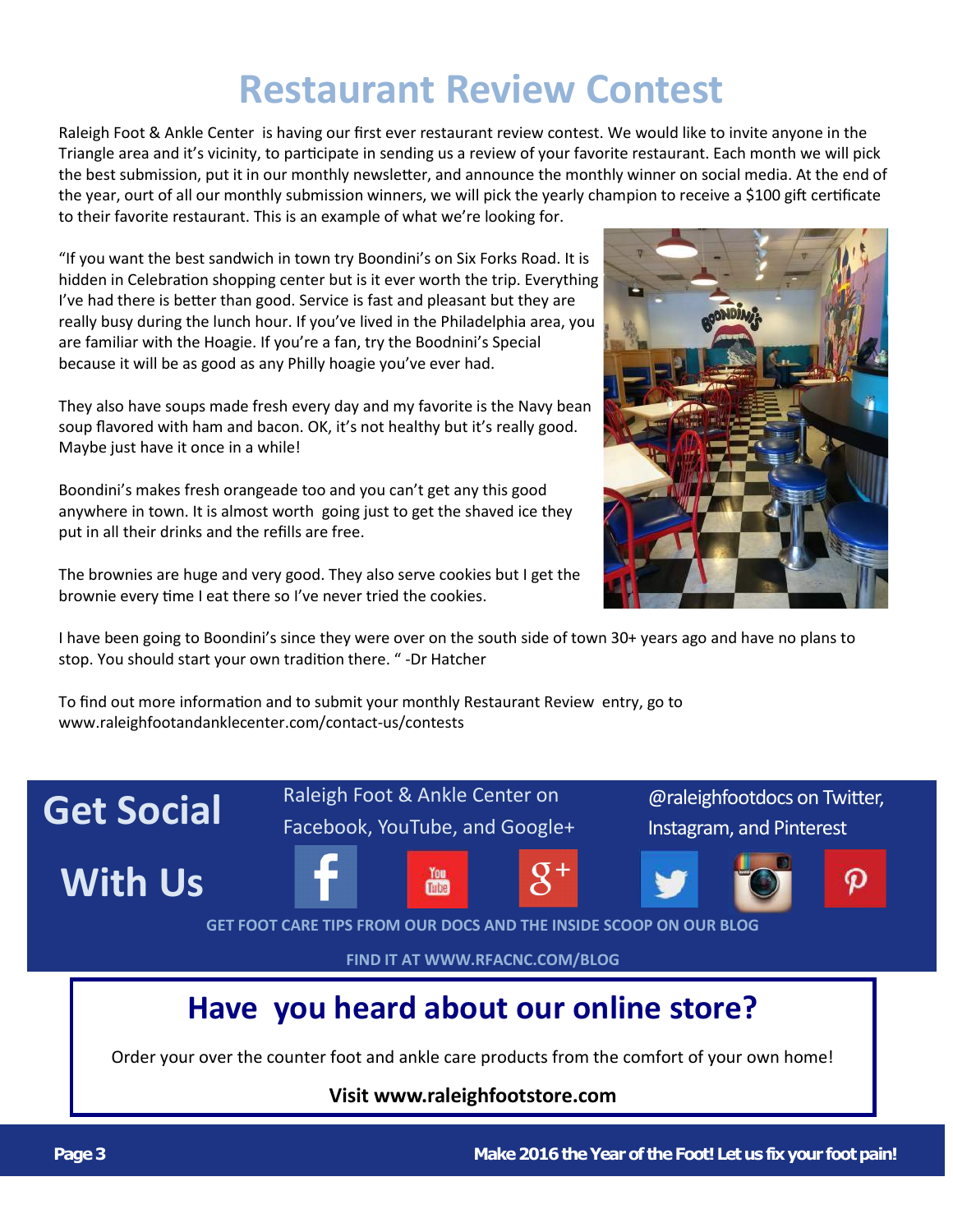# **Restaurant Review Contest**

Raleigh Foot & Ankle Center is having our first ever restaurant review contest. We would like to invite anyone in the Triangle area and it's vicinity, to participate in sending us a review of your favorite restaurant. Each month we will pick the best submission, put it in our monthly newsletter, and announce the monthly winner on social media. At the end of the year, ourt of all our monthly submission winners, we will pick the yearly champion to receive a \$100 gift certificate to their favorite restaurant. This is an example of what we're looking for.

"If you want the best sandwich in town try Boondini's on Six Forks Road. It is hidden in Celebration shopping center but is it ever worth the trip. Everything I've had there is better than good. Service is fast and pleasant but they are really busy during the lunch hour. If you've lived in the Philadelphia area, you are familiar with the Hoagie. If you're a fan, try the Boodnini's Special because it will be as good as any Philly hoagie you've ever had.

They also have soups made fresh every day and my favorite is the Navy bean soup flavored with ham and bacon. OK, it's not healthy but it's really good. Maybe just have it once in a while!

Boondini's makes fresh orangeade too and you can't get any this good anywhere in town. It is almost worth going just to get the shaved ice they put in all their drinks and the refills are free.

The brownies are huge and very good. They also serve cookies but I get the brownie every time I eat there so I've never tried the cookies.

I have been going to Boondini's since they were over on the south side of town 30+ years ago and have no plans to stop. You should start your own tradition there. " -Dr Hatcher

To find out more information and to submit your monthly Restaurant Review entry, go to www.raleighfootandanklecenter.com/contact-us/contests

Get Social Raleigh Foot & Ankle Center on **Engineer Concilled Bocial** Facebook, YouTube, and Google+ Instagram, and Pinterest Raleigh Foot & Ankle Center on

You

**With Us**

**GET FOOT CARE TIPS FROM OUR DOCS AND THE INSIDE SCOOP ON OUR BLOG**

**FIND IT AT WWW.RFACNC.COM/BLOG**

## **Have you heard about our online store?**

Order your over the counter foot and ankle care products from the comfort of your own home!

### **Visit www.raleighfootstore.com**

**Page 3 Make 2016 the Year of the Foot! Let us fix your foot pain!**